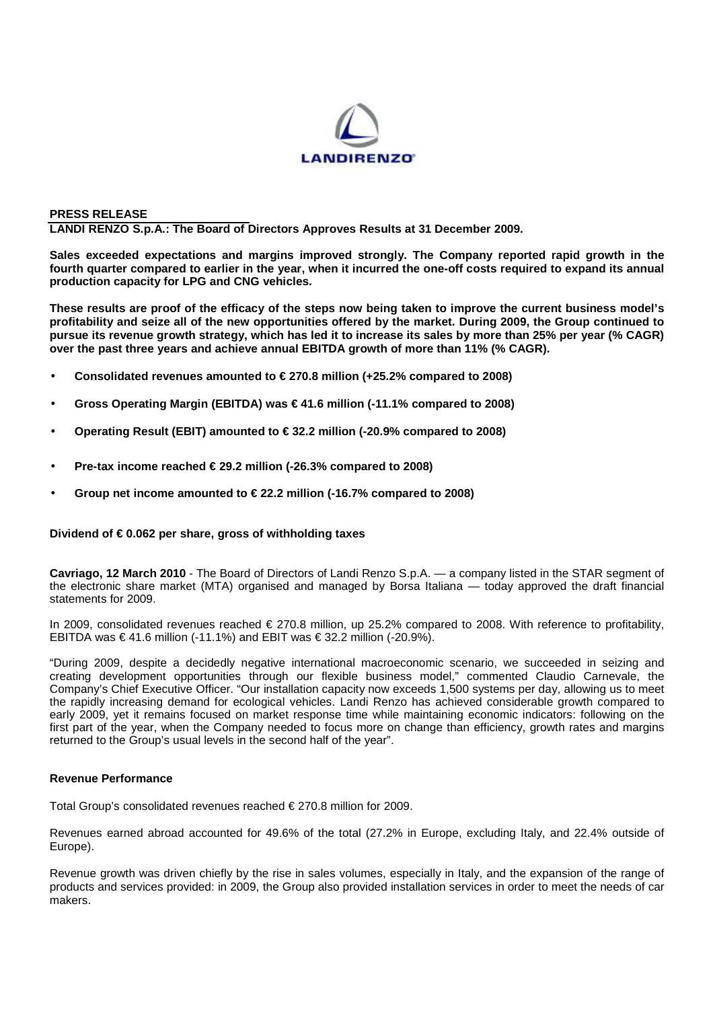

## **PRESS RELEASE**

**LANDI RENZO S.p.A.: The Board of Directors Approves Results at 31 December 2009.** 

**Sales exceeded expectations and margins improved strongly. The Company reported rapid growth in the fourth quarter compared to earlier in the year, when it incurred the one-off costs required to expand its annual production capacity for LPG and CNG vehicles.** 

**These results are proof of the efficacy of the steps now being taken to improve the current business model's profitability and seize all of the new opportunities offered by the market. During 2009, the Group continued to pursue its revenue growth strategy, which has led it to increase its sales by more than 25% per year (% CAGR) over the past three years and achieve annual EBITDA growth of more than 11% (% CAGR).** 

- **Consolidated revenues amounted to € 270.8 million (+25.2% compared to 2008)**
- **Gross Operating Margin (EBITDA) was € 41.6 million (-11.1% compared to 2008)**
- **Operating Result (EBIT) amounted to € 32.2 million (-20.9% compared to 2008)**
- **Pre-tax income reached € 29.2 million (-26.3% compared to 2008)**
- **Group net income amounted to € 22.2 million (-16.7% compared to 2008)**

#### **Dividend of € 0.062 per share, gross of withholding taxes**

**Cavriago, 12 March 2010** - The Board of Directors of Landi Renzo S.p.A. — a company listed in the STAR segment of the electronic share market (MTA) organised and managed by Borsa Italiana — today approved the draft financial statements for 2009.

In 2009, consolidated revenues reached € 270.8 million, up 25.2% compared to 2008. With reference to profitability, EBITDA was € 41.6 million (-11.1%) and EBIT was €  $\mathfrak{D}$ .2 million (-20.9%).

"During 2009, despite a decidedly negative international macroeconomic scenario, we succeeded in seizing and creating development opportunities through our flexible business model," commented Claudio Carnevale, the Company's Chief Executive Officer. "Our installation capacity now exceeds 1,500 systems per day, allowing us to meet the rapidly increasing demand for ecological vehicles. Landi Renzo has achieved considerable growth compared to early 2009, yet it remains focused on market response time while maintaining economic indicators: following on the first part of the year, when the Company needed to focus more on change than efficiency, growth rates and margins returned to the Group's usual levels in the second half of the year".

# **Revenue Performance**

Total Group's consolidated revenues reached € 270.8 million for 2009.

Revenues earned abroad accounted for 49.6% of the total (27.2% in Europe, excluding Italy, and 22.4% outside of Europe).

Revenue growth was driven chiefly by the rise in sales volumes, especially in Italy, and the expansion of the range of products and services provided: in 2009, the Group also provided installation services in order to meet the needs of car makers.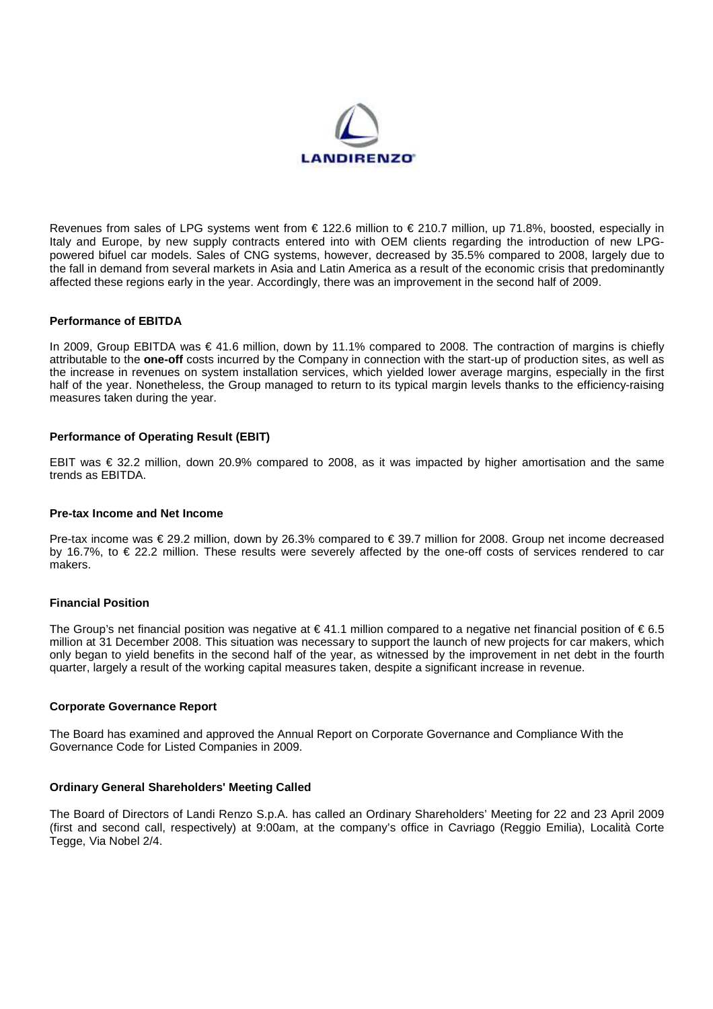

Revenues from sales of LPG systems went from € 122.6 million to € 210.7 million, up 71.8%, boosted, especially in Italy and Europe, by new supply contracts entered into with OEM clients regarding the introduction of new LPGpowered bifuel car models. Sales of CNG systems, however, decreased by 35.5% compared to 2008, largely due to the fall in demand from several markets in Asia and Latin America as a result of the economic crisis that predominantly affected these regions early in the year. Accordingly, there was an improvement in the second half of 2009.

# **Performance of EBITDA**

In 2009, Group EBITDA was € 41.6 million, down by 11.1% compared to 2008. The contraction of margins is chiefly attributable to the **one-off** costs incurred by the Company in connection with the start-up of production sites, as well as the increase in revenues on system installation services, which yielded lower average margins, especially in the first half of the year. Nonetheless, the Group managed to return to its typical margin levels thanks to the efficiency-raising measures taken during the year.

## **Performance of Operating Result (EBIT)**

EBIT was € 32.2 million, down 20.9% compared to 2008, as it was impacted by higher amortisation and the same trends as EBITDA.

#### **Pre-tax Income and Net Income**

Pre-tax income was € 29.2 million, down by 26.3% compared to € 39.7 million for 2008. Group net income decreased by 16.7%, to € 22.2 million. These results were severely affected by the one-off costs of services rendered to car makers.

#### **Financial Position**

The Group's net financial position was negative at  $\in$  41.1 million compared to a negative net financial position of  $\in$  6.5 million at 31 December 2008. This situation was necessary to support the launch of new projects for car makers, which only began to yield benefits in the second half of the year, as witnessed by the improvement in net debt in the fourth quarter, largely a result of the working capital measures taken, despite a significant increase in revenue.

### **Corporate Governance Report**

The Board has examined and approved the Annual Report on Corporate Governance and Compliance With the Governance Code for Listed Companies in 2009.

# **Ordinary General Shareholders' Meeting Called**

The Board of Directors of Landi Renzo S.p.A. has called an Ordinary Shareholders' Meeting for 22 and 23 April 2009 (first and second call, respectively) at 9:00am, at the company's office in Cavriago (Reggio Emilia), Località Corte Tegge, Via Nobel 2/4.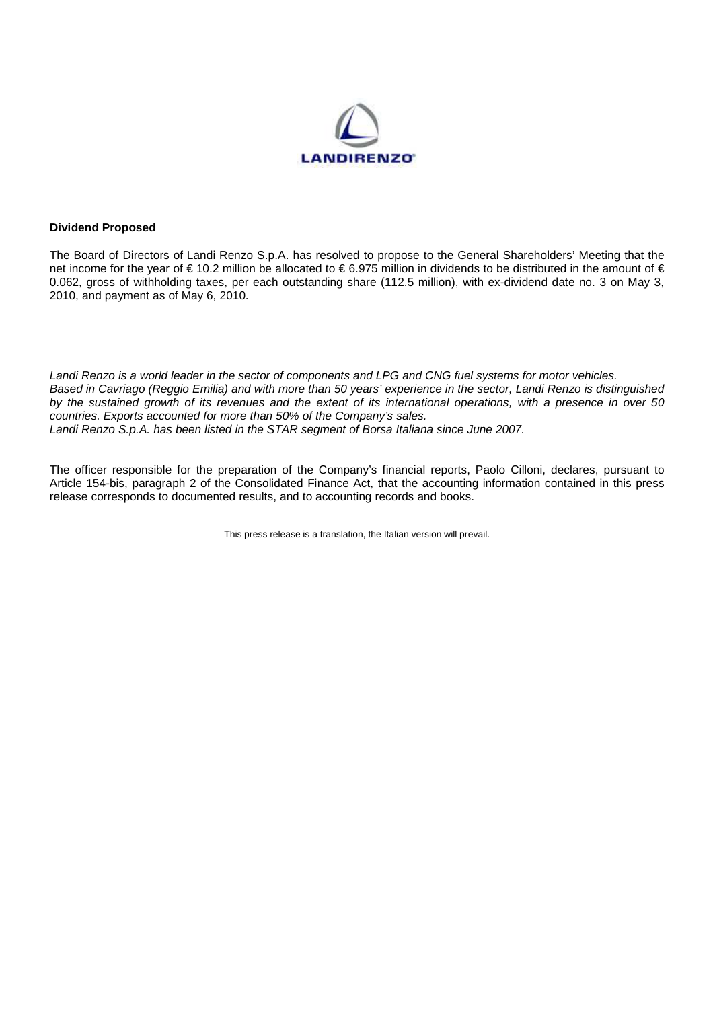

## **Dividend Proposed**

The Board of Directors of Landi Renzo S.p.A. has resolved to propose to the General Shareholders' Meeting that the net income for the year of € 10.2 million be allocated to € 6.975 million in dividends to be distributed in the amount of € 0.062, gross of withholding taxes, per each outstanding share (112.5 million), with ex-dividend date no. 3 on May 3, 2010, and payment as of May 6, 2010.

Landi Renzo is a world leader in the sector of components and LPG and CNG fuel systems for motor vehicles. Based in Cavriago (Reggio Emilia) and with more than 50 years' experience in the sector, Landi Renzo is distinguished by the sustained growth of its revenues and the extent of its international operations, with a presence in over 50 countries. Exports accounted for more than 50% of the Company's sales. Landi Renzo S.p.A. has been listed in the STAR segment of Borsa Italiana since June 2007.

The officer responsible for the preparation of the Company's financial reports, Paolo Cilloni, declares, pursuant to Article 154-bis, paragraph 2 of the Consolidated Finance Act, that the accounting information contained in this press release corresponds to documented results, and to accounting records and books.

This press release is a translation, the Italian version will prevail.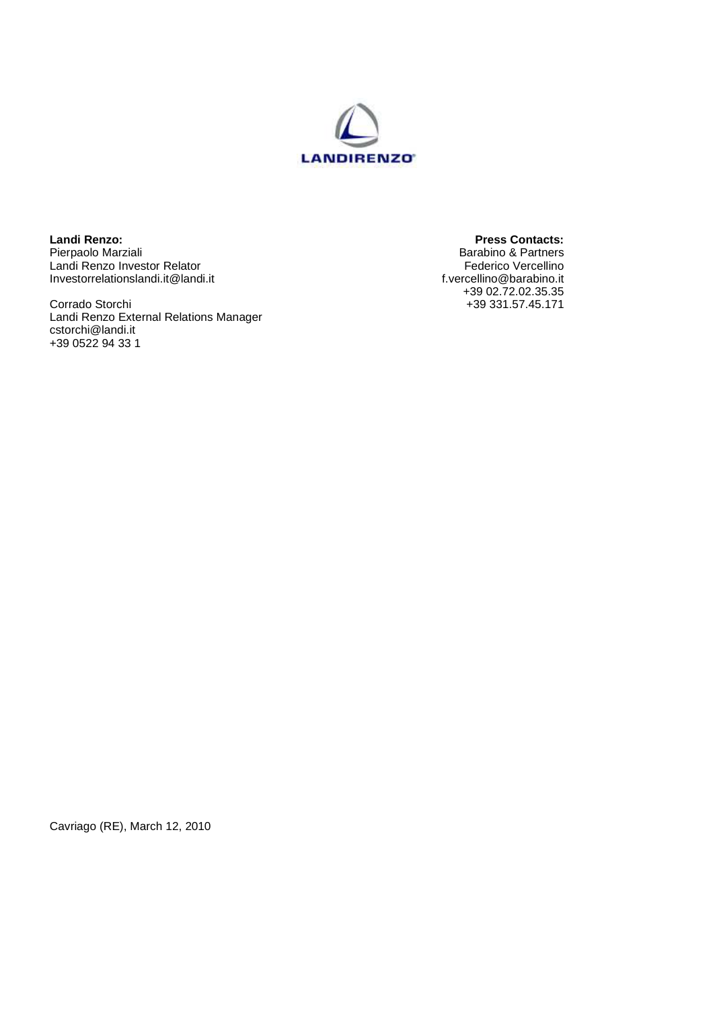

**Landi Renzo: Press Contacts:**  Pierpaolo Marziali **Barabino & Partners Barabino & Partners** Landi Renzo Investor Relator Federico Vercellino Investorrelationslandi.it@landi.it f.vercellino@barabino.it

Corrado Storchi +39 331.57.45.171 Landi Renzo External Relations Manager cstorchi@landi.it +39 0522 94 33 1

+39 02.72.02.35.35

Cavriago (RE), March 12, 2010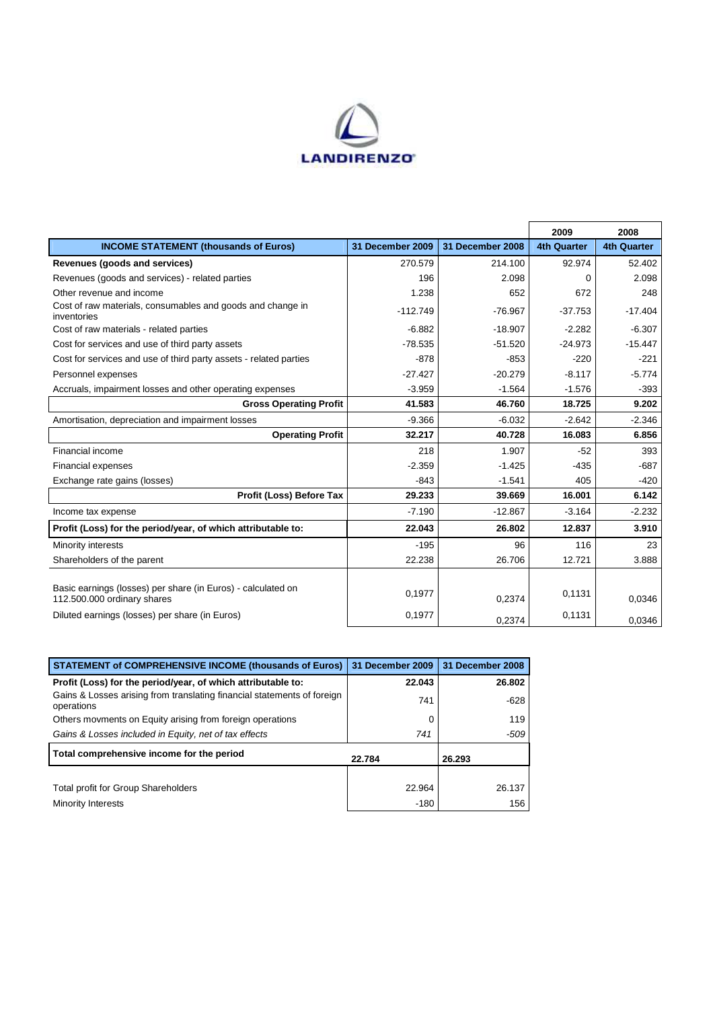

|                                                                                             |                  |                  | 2009               | 2008               |
|---------------------------------------------------------------------------------------------|------------------|------------------|--------------------|--------------------|
| <b>INCOME STATEMENT (thousands of Euros)</b>                                                | 31 December 2009 | 31 December 2008 | <b>4th Quarter</b> | <b>4th Quarter</b> |
| Revenues (goods and services)                                                               | 270.579          | 214.100          | 92.974             | 52.402             |
| Revenues (goods and services) - related parties                                             | 196              | 2.098            | $\Omega$           | 2.098              |
| Other revenue and income                                                                    | 1.238            | 652              | 672                | 248                |
| Cost of raw materials, consumables and goods and change in<br>inventories                   | $-112.749$       | $-76.967$        | $-37.753$          | $-17.404$          |
| Cost of raw materials - related parties                                                     | $-6.882$         | $-18.907$        | $-2.282$           | $-6.307$           |
| Cost for services and use of third party assets                                             | $-78.535$        | $-51.520$        | $-24.973$          | $-15.447$          |
| Cost for services and use of third party assets - related parties                           | $-878$           | $-853$           | $-220$             | $-221$             |
| Personnel expenses                                                                          | $-27.427$        | $-20.279$        | $-8.117$           | $-5.774$           |
| Accruals, impairment losses and other operating expenses                                    | $-3.959$         | $-1.564$         | $-1.576$           | $-393$             |
| <b>Gross Operating Profit</b>                                                               | 41.583           | 46.760           | 18.725             | 9.202              |
| Amortisation, depreciation and impairment losses                                            | $-9.366$         | $-6.032$         | $-2.642$           | $-2.346$           |
| <b>Operating Profit</b>                                                                     | 32.217           | 40.728           | 16.083             | 6.856              |
| Financial income                                                                            | 218              | 1.907            | $-52$              | 393                |
| <b>Financial expenses</b>                                                                   | $-2.359$         | $-1.425$         | $-435$             | $-687$             |
| Exchange rate gains (losses)                                                                | $-843$           | $-1.541$         | 405                | $-420$             |
| <b>Profit (Loss) Before Tax</b>                                                             | 29.233           | 39.669           | 16.001             | 6.142              |
| Income tax expense                                                                          | $-7.190$         | $-12.867$        | $-3.164$           | $-2.232$           |
| Profit (Loss) for the period/year, of which attributable to:                                | 22.043           | 26.802           | 12.837             | 3.910              |
| Minority interests                                                                          | $-195$           | 96               | 116                | 23                 |
| Shareholders of the parent                                                                  | 22.238           | 26.706           | 12.721             | 3.888              |
|                                                                                             |                  |                  |                    |                    |
| Basic earnings (losses) per share (in Euros) - calculated on<br>112.500.000 ordinary shares | 0.1977           | 0,2374           | 0.1131             | 0,0346             |
| Diluted earnings (losses) per share (in Euros)                                              | 0,1977           | 0,2374           | 0,1131             | 0,0346             |

| <b>STATEMENT of COMPREHENSIVE INCOME (thousands of Euros)</b>                         | 31 December 2009 | 31 December 2008 |
|---------------------------------------------------------------------------------------|------------------|------------------|
| Profit (Loss) for the period/year, of which attributable to:                          | 22.043           | 26.802           |
| Gains & Losses arising from translating financial statements of foreign<br>operations | 741              | $-628$           |
| Others movments on Equity arising from foreign operations                             |                  | 119              |
| Gains & Losses included in Equity, net of tax effects                                 | 741              | -509             |
| Total comprehensive income for the period                                             | 22.784           | 26.293           |
|                                                                                       |                  |                  |
| Total profit for Group Shareholders                                                   | 22.964           | 26.137           |
| Minority Interests                                                                    | $-180$           | 156              |